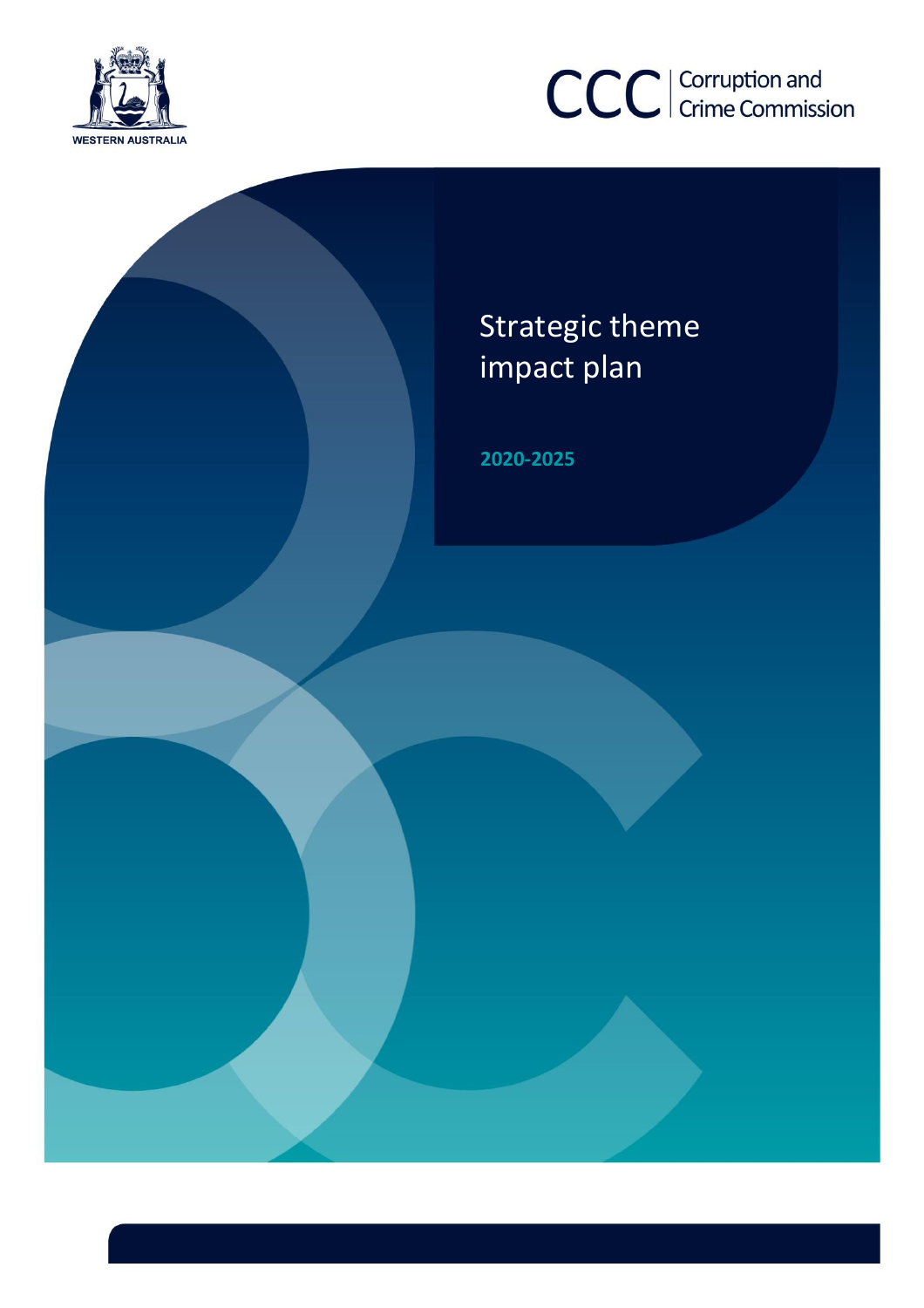



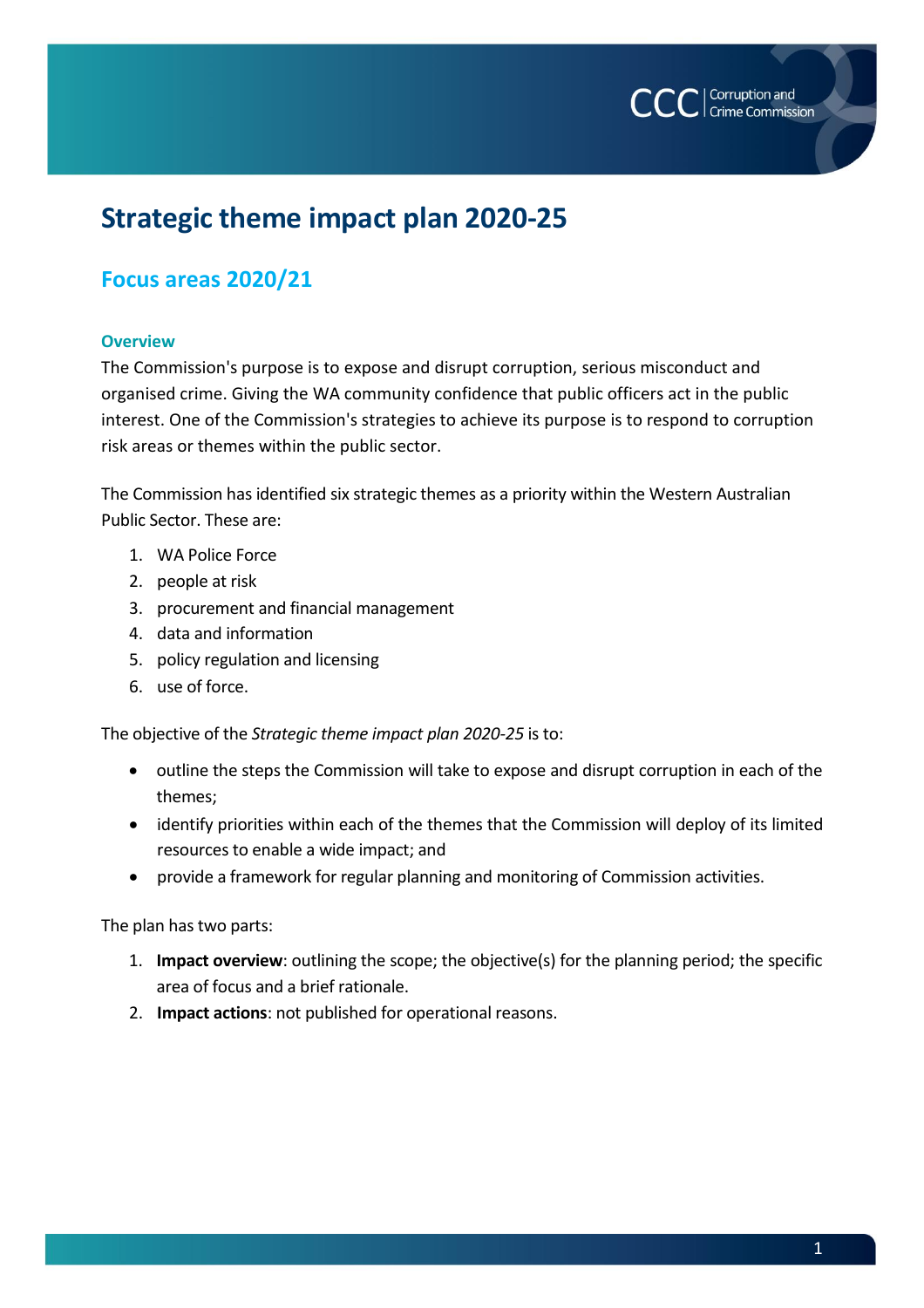

## **Strategic theme impact plan 2020-25**

### **Focus areas 2020/21**

#### **Overview**

The Commission's purpose is to expose and disrupt corruption, serious misconduct and organised crime. Giving the WA community confidence that public officers act in the public interest. One of the Commission's strategies to achieve its purpose is to respond to corruption risk areas or themes within the public sector.

The Commission has identified six strategic themes as a priority within the Western Australian Public Sector. These are:

- 1. WA Police Force
- 2. people at risk
- 3. procurement and financial management
- 4. data and information
- 5. policy regulation and licensing
- 6. use of force.

The objective of the *Strategic theme impact plan 2020-25* is to:

- outline the steps the Commission will take to expose and disrupt corruption in each of the themes;
- identify priorities within each of the themes that the Commission will deploy of its limited resources to enable a wide impact; and
- provide a framework for regular planning and monitoring of Commission activities.

The plan has two parts:

- 1. **Impact overview**: outlining the scope; the objective(s) for the planning period; the specific area of focus and a brief rationale.
- 2. **Impact actions**: not published for operational reasons.